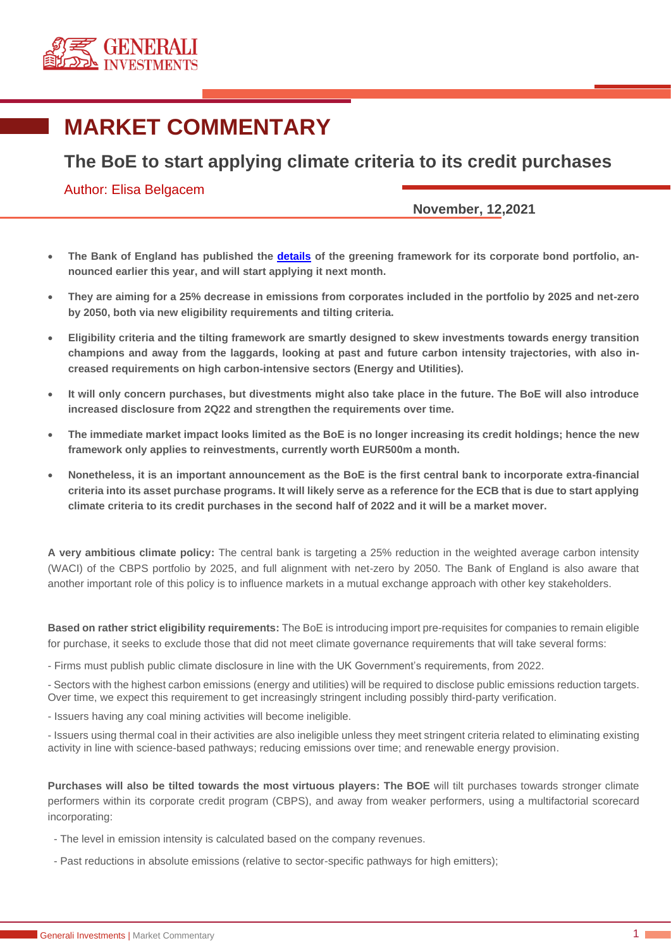

## **MARKET COMMENTARY**

## **The BoE to start applying climate criteria to its credit purchases**

## Author: Elisa Belgacem

**November, 12,2021**

- **The Bank of England has published the [details](https://www.citivelocity.com/cv2/go/MarketBuzz_VIDEOS/X19GUl9f6ww9vzizgchw/X19OQVZJR0FUSU9OX0JBU0U2NF9fL21hcmtldGJ1enovanNwL2NpdGl2ZWxvY2l0eXZpZGVvcy92aWRlby1jZW50ZXItcmVkaXJlY3QuanNwP3ZpZGVvSUQ9VklEMDc1T2Zqcjk2VnR4V2xQVTdLc01ZWiZ0cmFja2luZ1NvdXJjZT03) of the greening framework for its corporate bond portfolio, announced earlier this year, and will start applying it next month.**
- **They are aiming for a 25% decrease in emissions from corporates included in the portfolio by 2025 and net-zero by 2050, both via new eligibility requirements and tilting criteria.**
- **Eligibility criteria and the tilting framework are smartly designed to skew investments towards energy transition champions and away from the laggards, looking at past and future carbon intensity trajectories, with also increased requirements on high carbon-intensive sectors (Energy and Utilities).**
- **It will only concern purchases, but divestments might also take place in the future. The BoE will also introduce increased disclosure from 2Q22 and strengthen the requirements over time.**
- **The immediate market impact looks limited as the BoE is no longer increasing its credit holdings; hence the new framework only applies to reinvestments, currently worth EUR500m a month.**
- **Nonetheless, it is an important announcement as the BoE is the first central bank to incorporate extra-financial criteria into its asset purchase programs. It will likely serve as a reference for the ECB that is due to start applying climate criteria to its credit purchases in the second half of 2022 and it will be a market mover.**

**A very ambitious climate policy:** The central bank is targeting a 25% reduction in the weighted average carbon intensity (WACI) of the CBPS portfolio by 2025, and full alignment with net-zero by 2050. The Bank of England is also aware that another important role of this policy is to influence markets in a mutual exchange approach with other key stakeholders.

**Based on rather strict eligibility requirements:** The BoE is introducing import pre-requisites for companies to remain eligible for purchase, it seeks to exclude those that did not meet climate governance requirements that will take several forms:

- Firms must publish public climate disclosure in line with the UK Government's requirements, from 2022.

- Sectors with the highest carbon emissions (energy and utilities) will be required to disclose public emissions reduction targets. Over time, we expect this requirement to get increasingly stringent including possibly third-party verification.

- Issuers having any coal mining activities will become ineligible.

- Issuers using thermal coal in their activities are also ineligible unless they meet stringent criteria related to eliminating existing activity in line with science-based pathways; reducing emissions over time; and renewable energy provision.

**Purchases will also be tilted towards the most virtuous players: The BOE** will tilt purchases towards stronger climate performers within its corporate credit program (CBPS), and away from weaker performers, using a multifactorial scorecard incorporating:

- The level in emission intensity is calculated based on the company revenues.

- Past reductions in absolute emissions (relative to sector-specific pathways for high emitters);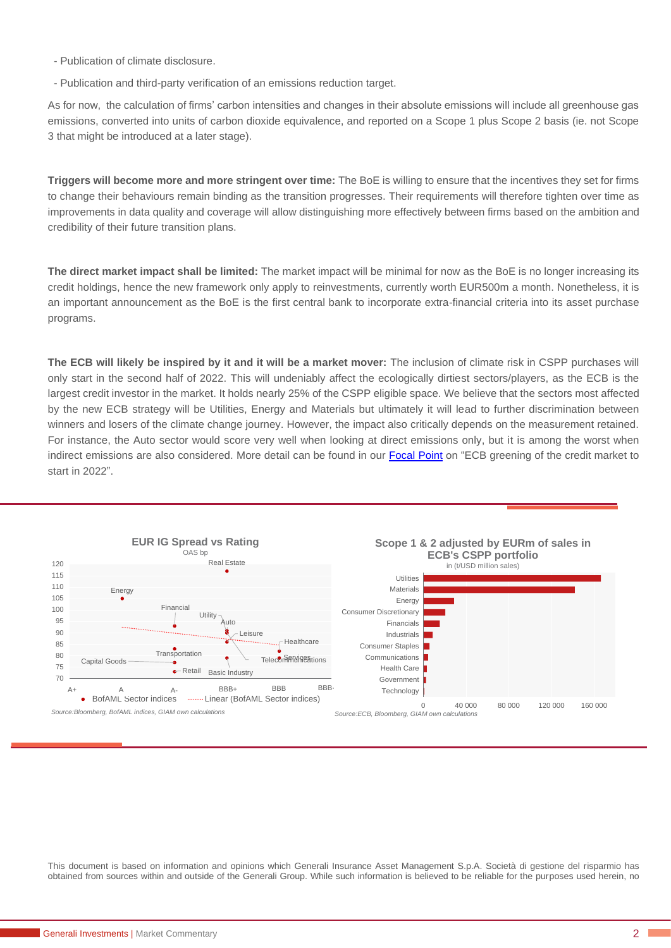- Publication of climate disclosure.
- Publication and third-party verification of an emissions reduction target.

As for now, the calculation of firms' carbon intensities and changes in their absolute emissions will include all greenhouse gas emissions, converted into units of carbon dioxide equivalence, and reported on a Scope 1 plus Scope 2 basis (ie. not Scope 3 that might be introduced at a later stage).

**Triggers will become more and more stringent over time:** The BoE is willing to ensure that the incentives they set for firms to change their behaviours remain binding as the transition progresses. Their requirements will therefore tighten over time as improvements in data quality and coverage will allow distinguishing more effectively between firms based on the ambition and credibility of their future transition plans.

**The direct market impact shall be limited:** The market impact will be minimal for now as the BoE is no longer increasing its credit holdings, hence the new framework only apply to reinvestments, currently worth EUR500m a month. Nonetheless, it is an important announcement as the BoE is the first central bank to incorporate extra-financial criteria into its asset purchase programs.

**The ECB will likely be inspired by it and it will be a market mover:** The inclusion of climate risk in CSPP purchases will only start in the second half of 2022. This will undeniably affect the ecologically dirtiest sectors/players, as the ECB is the largest credit investor in the market. It holds nearly 25% of the CSPP eligible space. We believe that the sectors most affected by the new ECB strategy will be Utilities, Energy and Materials but ultimately it will lead to further discrimination between winners and losers of the climate change journey. However, the impact also critically depends on the measurement retained. For instance, the Auto sector would score very well when looking at direct emissions only, but it is among the worst when indirect emissions are also considered. More detail can be found in our [Focal Point](https://www.generali-investments.com/it/it/institutional/article/ecb-greening-of-the-credit-market-to-start-in-2022) on "ECB greening of the credit market to start in 2022".



This document is based on information and opinions which Generali Insurance Asset Management S.p.A. Società di gestione del risparmio has obtained from sources within and outside of the Generali Group. While such information is believed to be reliable for the purposes used herein, no